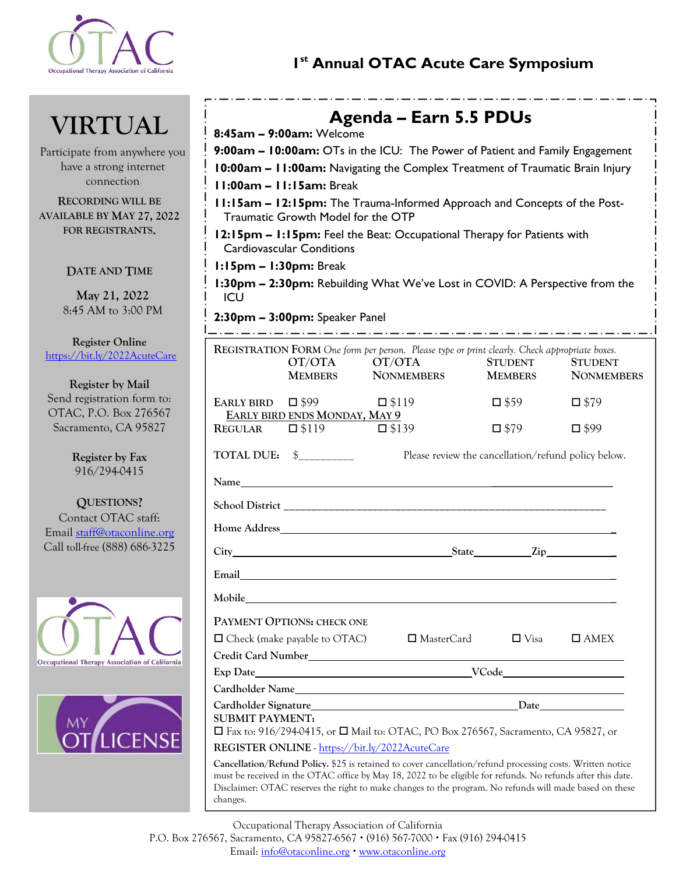

## Occupational Therapy Association of California<br> **1st Annual OTAC Acute Care Symposium**

# **VIRTUAL**

Participate from anywhere you have a strong internet connection

**RECORDING WILL BE AVAILABLE BY MAY 27, 2022 FOR REGISTRANTS.** 

## **DATE AND TIME**

**May 21, 2022**  8:45 AM to 3:00 PM

**Register Online**  https://bit.ly/2022AcuteCare

**Register by Mail**  Send registration form to: OTAC, P.O. Box 276567 Sacramento, CA 95827

> **Register by Fax** 916/294-0415

**QUESTIONS?**  Contact OTAC staff: Email staff@otaconline.org Call toll-free (888) 686-3225





| Agenda – Earn 5.5 PDUs                                                                                                  |                                               |                                                                                                                      |                |                   |  |
|-------------------------------------------------------------------------------------------------------------------------|-----------------------------------------------|----------------------------------------------------------------------------------------------------------------------|----------------|-------------------|--|
| 8:45am - 9:00am: Welcome                                                                                                |                                               |                                                                                                                      |                |                   |  |
| 9:00am - 10:00am: OTs in the ICU: The Power of Patient and Family Engagement                                            |                                               |                                                                                                                      |                |                   |  |
| 10:00am - 11:00am: Navigating the Complex Treatment of Traumatic Brain Injury                                           |                                               |                                                                                                                      |                |                   |  |
| $11:00am - 11:15am: Break$                                                                                              |                                               |                                                                                                                      |                |                   |  |
| 11:15am - 12:15pm: The Trauma-Informed Approach and Concepts of the Post-<br>Traumatic Growth Model for the OTP         |                                               |                                                                                                                      |                |                   |  |
| 12:15pm - 1:15pm: Feel the Beat: Occupational Therapy for Patients with                                                 |                                               |                                                                                                                      |                |                   |  |
| <b>Cardiovascular Conditions</b>                                                                                        |                                               |                                                                                                                      |                |                   |  |
| $1:15$ pm $-1:30$ pm: Break                                                                                             |                                               |                                                                                                                      |                |                   |  |
| 1:30pm - 2:30pm: Rebuilding What We've Lost in COVID: A Perspective from the<br>ICU                                     |                                               |                                                                                                                      |                |                   |  |
| 2:30pm - 3:00pm: Speaker Panel                                                                                          |                                               |                                                                                                                      |                |                   |  |
|                                                                                                                         |                                               | REGISTRATION FORM One form per person. Please type or print clearly. Check appropriate boxes.                        |                |                   |  |
|                                                                                                                         | OT/OTA                                        | OT/OTA                                                                                                               | <b>STUDENT</b> | <b>STUDENT</b>    |  |
|                                                                                                                         | <b>MEMBERS</b>                                | <b>NONMEMBERS</b>                                                                                                    | <b>MEMBERS</b> | <b>NONMEMBERS</b> |  |
| EARLY BIRD $\Box$ \$99                                                                                                  |                                               | $\square$ \$119                                                                                                      | $\square$ \$59 | $\square$ \$79    |  |
| REGULAR                                                                                                                 | EARLY BIRD ENDS MONDAY, MAY 9<br>$\Box$ \$119 | $\square$ \$139                                                                                                      | $\square$ \$79 | $\square$ \$99    |  |
|                                                                                                                         |                                               |                                                                                                                      |                |                   |  |
| TOTAL DUE: \$<br>Please review the cancellation/refund policy below.                                                    |                                               |                                                                                                                      |                |                   |  |
|                                                                                                                         |                                               |                                                                                                                      |                |                   |  |
|                                                                                                                         |                                               |                                                                                                                      |                |                   |  |
| <b>Home Address</b>                                                                                                     |                                               | <u> 1989 - Johann Stoff, deutscher Stoff, der Stoff, der Stoff, der Stoff, der Stoff, der Stoff, der Stoff, der </u> |                |                   |  |
|                                                                                                                         |                                               | City State Zip                                                                                                       |                |                   |  |
| Email                                                                                                                   |                                               |                                                                                                                      |                |                   |  |
| Mobile                                                                                                                  |                                               |                                                                                                                      |                |                   |  |
|                                                                                                                         | PAYMENT OPTIONS: CHECK ONE                    |                                                                                                                      |                |                   |  |
|                                                                                                                         | $\Box$ Check (make payable to OTAC)           | $\Box$ MasterCard                                                                                                    | $\Box$ Visa    | $\Box$ AMEX       |  |
|                                                                                                                         |                                               |                                                                                                                      |                |                   |  |
|                                                                                                                         |                                               |                                                                                                                      |                |                   |  |
| Cardholder Name                                                                                                         |                                               |                                                                                                                      |                |                   |  |
|                                                                                                                         |                                               |                                                                                                                      |                |                   |  |
| <b>SUBMIT PAYMENT:</b><br>$\Box$ Fax to: 916/294-0415, or $\Box$ Mail to: OTAC, PO Box 276567, Sacramento, CA 95827, or |                                               |                                                                                                                      |                |                   |  |
| REGISTER ONLINE - https://bit.ly/2022AcuteCare                                                                          |                                               |                                                                                                                      |                |                   |  |
|                                                                                                                         |                                               |                                                                                                                      |                |                   |  |

**Cancellation/Refund Policy.** \$25 is retained to cover cancellation/refund processing costs. Written notice must be received in the OTAC office by May 18, 2022 to be eligible for refunds. No refunds after this date. Disclaimer: OTAC reserves the right to make changes to the program. No refunds will made based on these changes.

Occupational Therapy Association of California

P.O. Box 276567, Sacramento, CA 95827-6567 • (916) 567-7000 • Fax (916) 294-0415

Email: info@otaconline.org • www.otaconline.org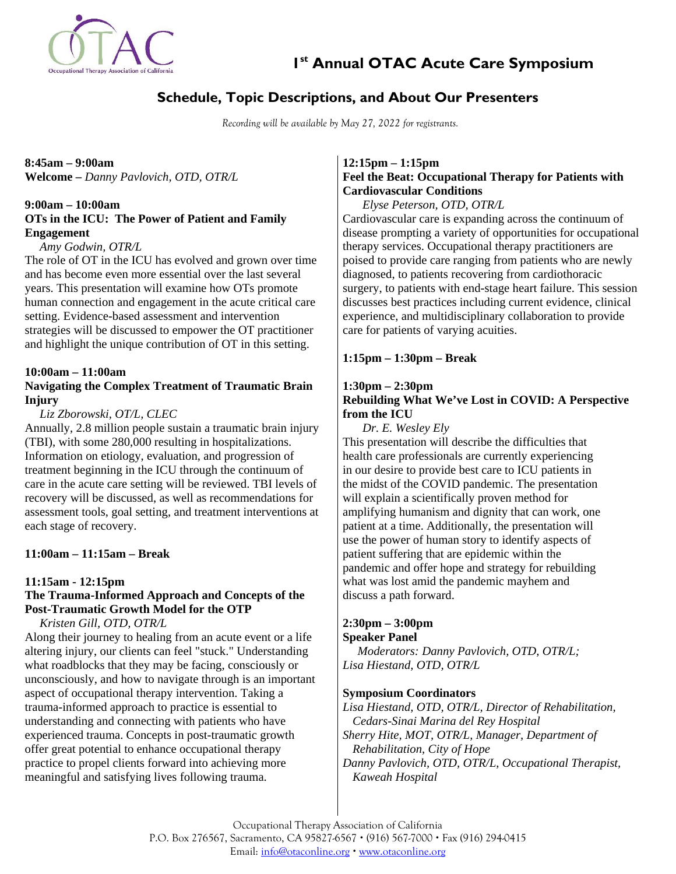

 **1st Annual OTAC Acute Care Symposium** 

## **Schedule, Topic Descriptions, and About Our Presenters**

*Recording will be available by May 27, 2022 for registrants.* 

**8:45am – 9:00am Welcome –** *Danny Pavlovich, OTD, OTR/L*

## **9:00am – 10:00am OTs in the ICU: The Power of Patient and Family Engagement**

*Amy Godwin, OTR/L* 

The role of OT in the ICU has evolved and grown over time and has become even more essential over the last several years. This presentation will examine how OTs promote human connection and engagement in the acute critical care setting. Evidence-based assessment and intervention strategies will be discussed to empower the OT practitioner and highlight the unique contribution of OT in this setting.

#### **10:00am – 11:00am**

## **Navigating the Complex Treatment of Traumatic Brain Injury**

## *Liz Zborowski, OT/L, CLEC*

Annually, 2.8 million people sustain a traumatic brain injury (TBI), with some 280,000 resulting in hospitalizations. Information on etiology, evaluation, and progression of treatment beginning in the ICU through the continuum of care in the acute care setting will be reviewed. TBI levels of recovery will be discussed, as well as recommendations for assessment tools, goal setting, and treatment interventions at each stage of recovery.

## **11:00am – 11:15am – Break**

## **11:15am - 12:15pm**

## **The Trauma-Informed Approach and Concepts of the Post-Traumatic Growth Model for the OTP**

*Kristen Gill, OTD, OTR/L* 

Along their journey to healing from an acute event or a life altering injury, our clients can feel "stuck." Understanding what roadblocks that they may be facing, consciously or unconsciously, and how to navigate through is an important aspect of occupational therapy intervention. Taking a trauma-informed approach to practice is essential to understanding and connecting with patients who have experienced trauma. Concepts in post-traumatic growth offer great potential to enhance occupational therapy practice to propel clients forward into achieving more meaningful and satisfying lives following trauma.

## **12:15pm – 1:15pm Feel the Beat: Occupational Therapy for Patients with Cardiovascular Conditions**

*Elyse Peterson, OTD, OTR/L*  Cardiovascular care is expanding across the continuum of disease prompting a variety of opportunities for occupational therapy services. Occupational therapy practitioners are poised to provide care ranging from patients who are newly diagnosed, to patients recovering from cardiothoracic surgery, to patients with end-stage heart failure. This session discusses best practices including current evidence, clinical experience, and multidisciplinary collaboration to provide care for patients of varying acuities.

## **1:15pm – 1:30pm – Break**

## **1:30pm – 2:30pm Rebuilding What We've Lost in COVID: A Perspective from the ICU**

*Dr. E. Wesley Ely* This presentation will describe the difficulties that health care professionals are currently experiencing in our desire to provide best care to ICU patients in the midst of the COVID pandemic. The presentation will explain a scientifically proven method for amplifying humanism and dignity that can work, one patient at a time. Additionally, the presentation will use the power of human story to identify aspects of patient suffering that are epidemic within the pandemic and offer hope and strategy for rebuilding what was lost amid the pandemic mayhem and discuss a path forward.

## **2:30pm – 3:00pm**

## **Speaker Panel**

*Moderators: Danny Pavlovich, OTD, OTR/L; Lisa Hiestand, OTD, OTR/L* 

## **Symposium Coordinators**

*Lisa Hiestand, OTD, OTR/L, Director of Rehabilitation, Cedars-Sinai Marina del Rey Hospital Sherry Hite, MOT, OTR/L, Manager, Department of Rehabilitation, City of Hope Danny Pavlovich, OTD, OTR/L, Occupational Therapist, Kaweah Hospital* 

Occupational Therapy Association of California P.O. Box 276567, Sacramento, CA 95827-6567 • (916) 567-7000 • Fax (916) 294-0415 Email: info@otaconline.org • www.otaconline.org